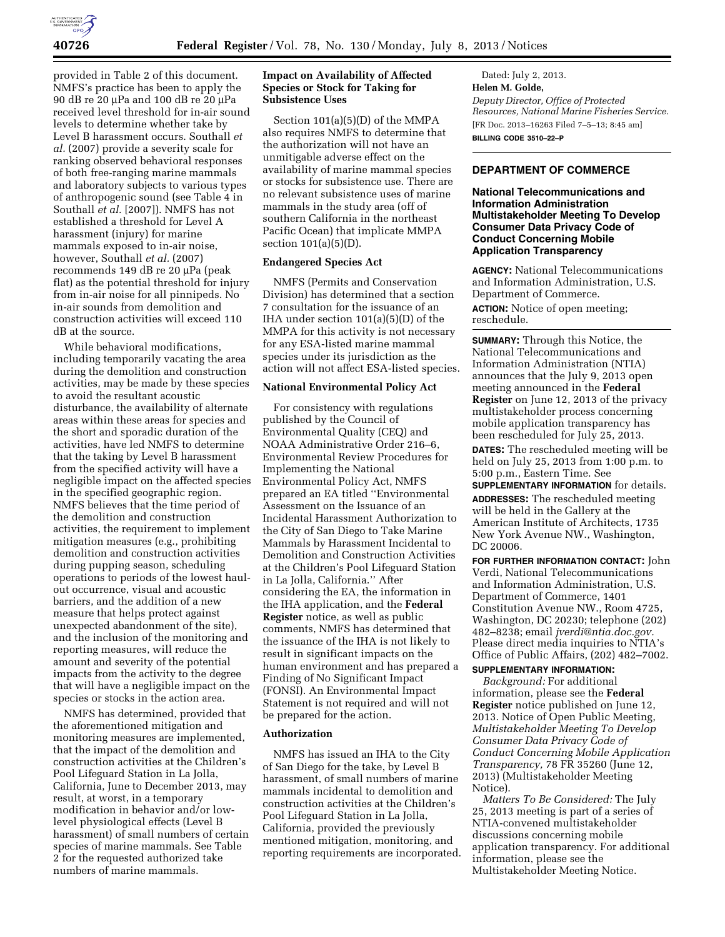

provided in Table 2 of this document. NMFS's practice has been to apply the 90 dB re 20 µPa and 100 dB re 20 µPa received level threshold for in-air sound levels to determine whether take by Level B harassment occurs. Southall *et al.* (2007) provide a severity scale for ranking observed behavioral responses of both free-ranging marine mammals and laboratory subjects to various types of anthropogenic sound (see Table 4 in Southall *et al.* [2007]). NMFS has not established a threshold for Level A harassment (injury) for marine mammals exposed to in-air noise, however, Southall *et al.* (2007) recommends 149 dB re 20  $\mu$ Pa (peak flat) as the potential threshold for injury from in-air noise for all pinnipeds. No in-air sounds from demolition and construction activities will exceed 110 dB at the source.

While behavioral modifications, including temporarily vacating the area during the demolition and construction activities, may be made by these species to avoid the resultant acoustic disturbance, the availability of alternate areas within these areas for species and the short and sporadic duration of the activities, have led NMFS to determine that the taking by Level B harassment from the specified activity will have a negligible impact on the affected species in the specified geographic region. NMFS believes that the time period of the demolition and construction activities, the requirement to implement mitigation measures (e.g., prohibiting demolition and construction activities during pupping season, scheduling operations to periods of the lowest haulout occurrence, visual and acoustic barriers, and the addition of a new measure that helps protect against unexpected abandonment of the site), and the inclusion of the monitoring and reporting measures, will reduce the amount and severity of the potential impacts from the activity to the degree that will have a negligible impact on the species or stocks in the action area.

NMFS has determined, provided that the aforementioned mitigation and monitoring measures are implemented, that the impact of the demolition and construction activities at the Children's Pool Lifeguard Station in La Jolla, California, June to December 2013, may result, at worst, in a temporary modification in behavior and/or lowlevel physiological effects (Level B harassment) of small numbers of certain species of marine mammals. See Table 2 for the requested authorized take numbers of marine mammals.

# **Impact on Availability of Affected Species or Stock for Taking for Subsistence Uses**

Section 101(a)(5)(D) of the MMPA also requires NMFS to determine that the authorization will not have an unmitigable adverse effect on the availability of marine mammal species or stocks for subsistence use. There are no relevant subsistence uses of marine mammals in the study area (off of southern California in the northeast Pacific Ocean) that implicate MMPA section 101(a)(5)(D).

## **Endangered Species Act**

NMFS (Permits and Conservation Division) has determined that a section 7 consultation for the issuance of an IHA under section 101(a)(5)(D) of the MMPA for this activity is not necessary for any ESA-listed marine mammal species under its jurisdiction as the action will not affect ESA-listed species.

### **National Environmental Policy Act**

For consistency with regulations published by the Council of Environmental Quality (CEQ) and NOAA Administrative Order 216–6, Environmental Review Procedures for Implementing the National Environmental Policy Act, NMFS prepared an EA titled ''Environmental Assessment on the Issuance of an Incidental Harassment Authorization to the City of San Diego to Take Marine Mammals by Harassment Incidental to Demolition and Construction Activities at the Children's Pool Lifeguard Station in La Jolla, California.'' After considering the EA, the information in the IHA application, and the **Federal Register** notice, as well as public comments, NMFS has determined that the issuance of the IHA is not likely to result in significant impacts on the human environment and has prepared a Finding of No Significant Impact (FONSI). An Environmental Impact Statement is not required and will not be prepared for the action.

## **Authorization**

NMFS has issued an IHA to the City of San Diego for the take, by Level B harassment, of small numbers of marine mammals incidental to demolition and construction activities at the Children's Pool Lifeguard Station in La Jolla, California, provided the previously mentioned mitigation, monitoring, and reporting requirements are incorporated.

Dated: July 2, 2013. **Helen M. Golde,**  *Deputy Director, Office of Protected Resources, National Marine Fisheries Service.*  [FR Doc. 2013–16263 Filed 7–5–13; 8:45 am] **BILLING CODE 3510–22–P** 

## **DEPARTMENT OF COMMERCE**

# **National Telecommunications and Information Administration Multistakeholder Meeting To Develop Consumer Data Privacy Code of Conduct Concerning Mobile Application Transparency**

**AGENCY:** National Telecommunications and Information Administration, U.S. Department of Commerce.

**ACTION:** Notice of open meeting; reschedule.

**SUMMARY:** Through this Notice, the National Telecommunications and Information Administration (NTIA) announces that the July 9, 2013 open meeting announced in the **Federal Register** on June 12, 2013 of the privacy multistakeholder process concerning mobile application transparency has been rescheduled for July 25, 2013.

**DATES:** The rescheduled meeting will be held on July 25, 2013 from 1:00 p.m. to 5:00 p.m., Eastern Time. See **SUPPLEMENTARY INFORMATION** for details.

**ADDRESSES:** The rescheduled meeting will be held in the Gallery at the American Institute of Architects, 1735 New York Avenue NW., Washington, DC 20006.

**FOR FURTHER INFORMATION CONTACT:** John Verdi, National Telecommunications and Information Administration, U.S. Department of Commerce, 1401 Constitution Avenue NW., Room 4725, Washington, DC 20230; telephone (202) 482–8238; email *[jverdi@ntia.doc.gov.](mailto:jverdi@ntia.doc.gov)*  Please direct media inquiries to NTIA's Office of Public Affairs, (202) 482–7002.

# **SUPPLEMENTARY INFORMATION:**

*Background:* For additional information, please see the **Federal Register** notice published on June 12, 2013. Notice of Open Public Meeting, *Multistakeholder Meeting To Develop Consumer Data Privacy Code of Conduct Concerning Mobile Application Transparency,* 78 FR 35260 (June 12, 2013) (Multistakeholder Meeting Notice).

*Matters To Be Considered:* The July 25, 2013 meeting is part of a series of NTIA-convened multistakeholder discussions concerning mobile application transparency. For additional information, please see the Multistakeholder Meeting Notice.